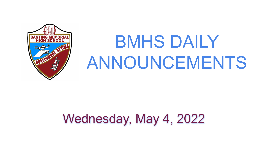

# BMHS DAILY ANNOUNCEMENTS

## Wednesday, May 4, 2022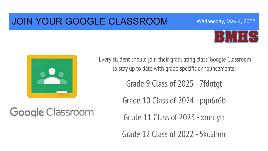### JOIN YOUR GOOGLE CLASSROOM





Every student should join their graduating class' Google Classroom to stay up to date with grade specific announcements!

Grade 9 Class of 2025 - 7fdotgt

Grade 10 Class of 2024 - pqn6r6b

Google Classroom

Grade 11 Class of 2023 - xmntytr

Grade 12 Class of 2022 - 5kuzhmr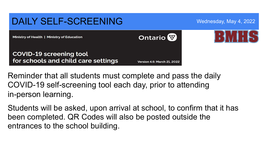

Reminder that all students must complete and pass the daily COVID-19 self-screening tool each day, prior to attending in-person learning.

Students will be asked, upon arrival at school, to confirm that it has been completed. QR Codes will also be posted outside the entrances to the school building.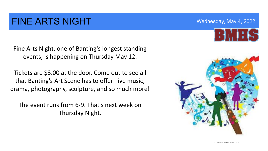### FINE ARTS NIGHT WEDGES AND MEDICAL MEXICAN MAY 4, 2022

Fine Arts Night, one of Banting's longest standing events, is happening on Thursday May 12.

Tickets are \$3.00 at the door. Come out to see all that Banting's Art Scene has to offer: live music, drama, photography, sculpture, and so much more!

The event runs from 6-9. That's next week on Thursday Night.



photocredit:mobile.twitter.com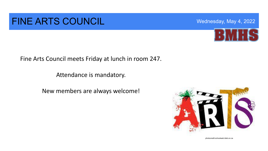### FINE ARTS COUNCIL WEDGE Wednesday, May 4, 2022

Fine Arts Council meets Friday at lunch in room 247.

Attendance is mandatory.

New members are always welcome!





photocredit:schoolweb.tdsb.on.ca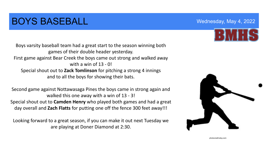### **BOYS BASEBALL Example 2022** Mednesday, May 4, 2022

Boys varsity baseball team had a great start to the season winning both games of their double header yesterday. First game against Bear Creek the boys came out strong and walked away with a win of  $13 - 0$ Special shout out to **Zack Tomlinson** for pitching a strong 4 innings and to all the boys for showing their bats.

Second game against Nottawasaga Pines the boys came in strong again and walked this one away with a win of 13 - 3! Special shout out to **Camden Henry** who played both games and had a great day overall and **Zach Flatts** for putting one off the fence 300 feet away!!!

Looking forward to a great season, if you can make it out next Tuesday we are playing at Doner Diamond at 2:30.





photocredit:etsy.com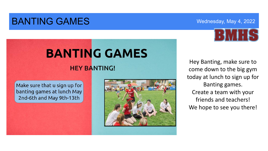### **BANTING GAMES** Wednesday, May 4, 2022



## **BANTING GAMES**

#### **HEY BANTING!**

#### Make sure that u sign up for banting games at lunch May 2nd-6th and May 9th-13th



Hey Banting, make sure to come down to the big gym today at lunch to sign up for Banting games. Create a team with your friends and teachers! We hope to see you there!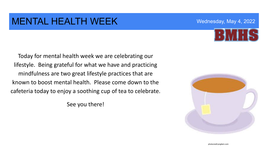#### MENTAL HEALTH WEEK WERE Wednesday, May 4, 2022

Today for mental health week we are celebrating our lifestyle. Being grateful for what we have and practicing mindfulness are two great lifestyle practices that are known to boost mental health. Please come down to the cafeteria today to enjoy a soothing cup of tea to celebrate.

See you there!

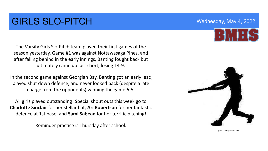### GIRLS SLO-PITCH Wednesday, May 4, 2022

The Varsity Girls Slo-Pitch team played their first games of the season yesterday. Game #1 was against Nottawasaga Pines, and after falling behind in the early innings, Banting fought back but ultimately came up just short, losing 14-9.

In the second game against Georgian Bay, Banting got an early lead, played shut down defence, and never looked back (despite a late charge from the opponents) winning the game 6-5.

All girls played outstanding! Special shout outs this week go to **Charlotte Sinclair** for her stellar bat, **Ari Robertson** for her fantastic defence at 1st base, and **Sami Sabean** for her terrific pitching!

Reminder practice is Thursday after school.



photocredit:pinterest.com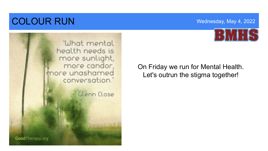### **COLOUR RUN** Wednesday, May 4, 2022





On Friday we run for Mental Health. Let's outrun the stigma together!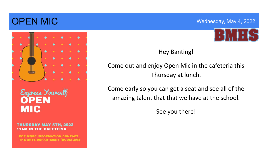### OPEN MIC Wednesday, May 4, 2022



Express Yourself **MIC** 

**THURSDAY MAY 5TH, 2022 11AM IN THE CAFETERIA** 

**FOR MORE INFORMATION CONTACT** THE ARTS DEPARTMENT (ROOM 206)



Hey Banting!

Come out and enjoy Open Mic in the cafeteria this Thursday at lunch.

 amazing talent that that we have at the school. Come early so you can get a seat and see all of the

See you there!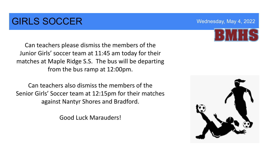### **GIRLS SOCCER** Wednesday, May 4, 2022

Can teachers please dismiss the members of the Junior Girls' soccer team at 11:45 am today for their matches at Maple Ridge S.S. The bus will be departing from the bus ramp at 12:00pm.

Can teachers also dismiss the members of the Senior Girls' Soccer team at 12:15pm for their matches against Nantyr Shores and Bradford.

Good Luck Marauders!